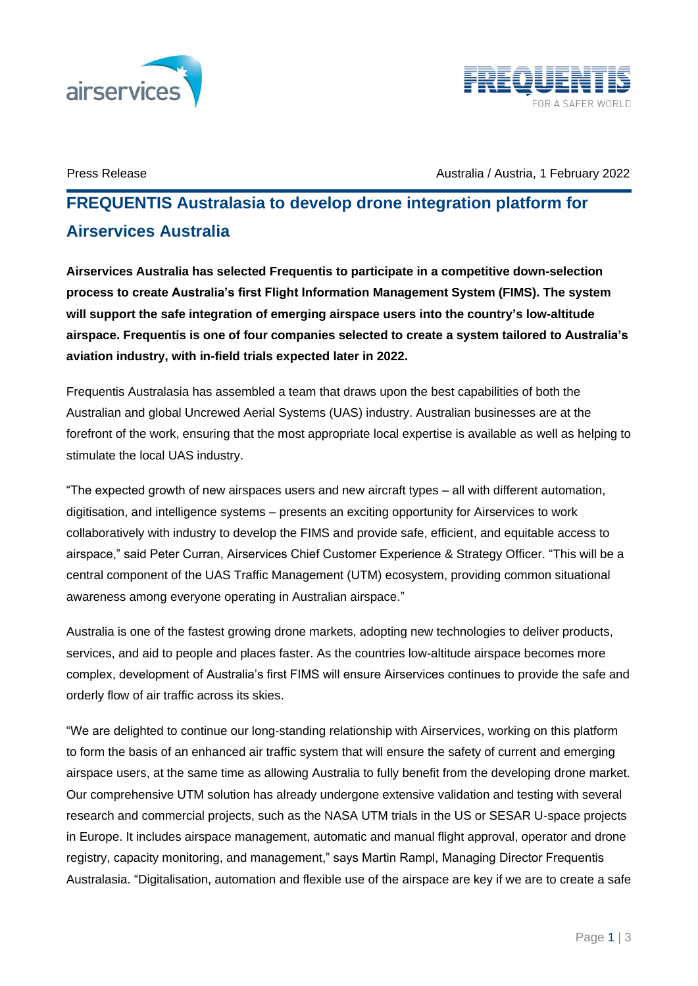



Press Release **Australia / Australia / Austria, 1 February 2022** 

## **FREQUENTIS Australasia to develop drone integration platform for Airservices Australia**

**Airservices Australia has selected Frequentis to participate in a competitive down-selection process to create Australia's first Flight Information Management System (FIMS). The system will support the safe integration of emerging airspace users into the country's low-altitude airspace. Frequentis is one of four companies selected to create a system tailored to Australia's aviation industry, with in-field trials expected later in 2022.**

Frequentis Australasia has assembled a team that draws upon the best capabilities of both the Australian and global Uncrewed Aerial Systems (UAS) industry. Australian businesses are at the forefront of the work, ensuring that the most appropriate local expertise is available as well as helping to stimulate the local UAS industry.

"The expected growth of new airspaces users and new aircraft types – all with different automation, digitisation, and intelligence systems – presents an exciting opportunity for Airservices to work collaboratively with industry to develop the FIMS and provide safe, efficient, and equitable access to airspace," said Peter Curran, Airservices Chief Customer Experience & Strategy Officer. "This will be a central component of the UAS Traffic Management (UTM) ecosystem, providing common situational awareness among everyone operating in Australian airspace."

Australia is one of the fastest growing drone markets, adopting new technologies to deliver products, services, and aid to people and places faster. As the countries low-altitude airspace becomes more complex, development of Australia's first FIMS will ensure Airservices continues to provide the safe and orderly flow of air traffic across its skies.

"We are delighted to continue our long-standing relationship with Airservices, working on this platform to form the basis of an enhanced air traffic system that will ensure the safety of current and emerging airspace users, at the same time as allowing Australia to fully benefit from the developing drone market. Our comprehensive UTM solution has already undergone extensive validation and testing with several research and commercial projects, such as the NASA UTM trials in the US or SESAR U-space projects in Europe. It includes airspace management, automatic and manual flight approval, operator and drone registry, capacity monitoring, and management," says Martin Rampl, Managing Director Frequentis Australasia. "Digitalisation, automation and flexible use of the airspace are key if we are to create a safe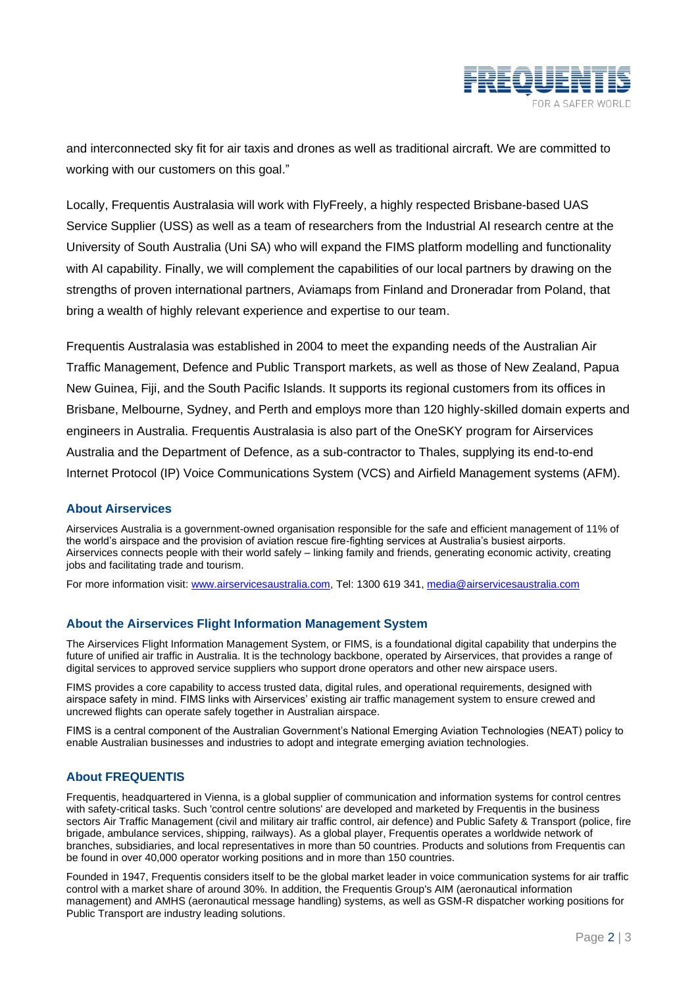

and interconnected sky fit for air taxis and drones as well as traditional aircraft. We are committed to working with our customers on this goal."

Locally, Frequentis Australasia will work with FlyFreely, a highly respected Brisbane-based UAS Service Supplier (USS) as well as a team of researchers from the Industrial AI research centre at the University of South Australia (Uni SA) who will expand the FIMS platform modelling and functionality with AI capability. Finally, we will complement the capabilities of our local partners by drawing on the strengths of proven international partners, Aviamaps from Finland and Droneradar from Poland, that bring a wealth of highly relevant experience and expertise to our team.

Frequentis Australasia was established in 2004 to meet the expanding needs of the Australian Air Traffic Management, Defence and Public Transport markets, as well as those of New Zealand, Papua New Guinea, Fiji, and the South Pacific Islands. It supports its regional customers from its offices in Brisbane, Melbourne, Sydney, and Perth and employs more than 120 highly-skilled domain experts and engineers in Australia. Frequentis Australasia is also part of the OneSKY program for Airservices Australia and the Department of Defence, as a sub-contractor to Thales, supplying its end-to-end Internet Protocol (IP) Voice Communications System (VCS) and Airfield Management systems (AFM).

## **About Airservices**

Airservices Australia is a government-owned organisation responsible for the safe and efficient management of 11% of the world's airspace and the provision of aviation rescue fire-fighting services at Australia's busiest airports. Airservices connects people with their world safely – linking family and friends, generating economic activity, creating jobs and facilitating trade and tourism.

For more information visit: [www.airservicesaustralia.com,](http://www.airservicesaustralia.com/) Tel: 1300 619 341, [media@airservicesaustralia.com](mailto:media@airservicesaustralia.com) 

## **About the Airservices Flight Information Management System**

The Airservices Flight Information Management System, or FIMS, is a foundational digital capability that underpins the future of unified air traffic in Australia. It is the technology backbone, operated by Airservices, that provides a range of digital services to approved service suppliers who support drone operators and other new airspace users.

FIMS provides a core capability to access trusted data, digital rules, and operational requirements, designed with airspace safety in mind. FIMS links with Airservices' existing air traffic management system to ensure crewed and uncrewed flights can operate safely together in Australian airspace.

FIMS is a central component of the Australian Government's National Emerging Aviation Technologies (NEAT) policy to enable Australian businesses and industries to adopt and integrate emerging aviation technologies.

## **About FREQUENTIS**

Frequentis, headquartered in Vienna, is a global supplier of communication and information systems for control centres with safety-critical tasks. Such 'control centre solutions' are developed and marketed by Frequentis in the business sectors Air Traffic Management (civil and military air traffic control, air defence) and Public Safety & Transport (police, fire brigade, ambulance services, shipping, railways). As a global player, Frequentis operates a worldwide network of branches, subsidiaries, and local representatives in more than 50 countries. Products and solutions from Frequentis can be found in over 40,000 operator working positions and in more than 150 countries.

Founded in 1947, Frequentis considers itself to be the global market leader in voice communication systems for air traffic control with a market share of around 30%. In addition, the Frequentis Group's AIM (aeronautical information management) and AMHS (aeronautical message handling) systems, as well as GSM-R dispatcher working positions for Public Transport are industry leading solutions.